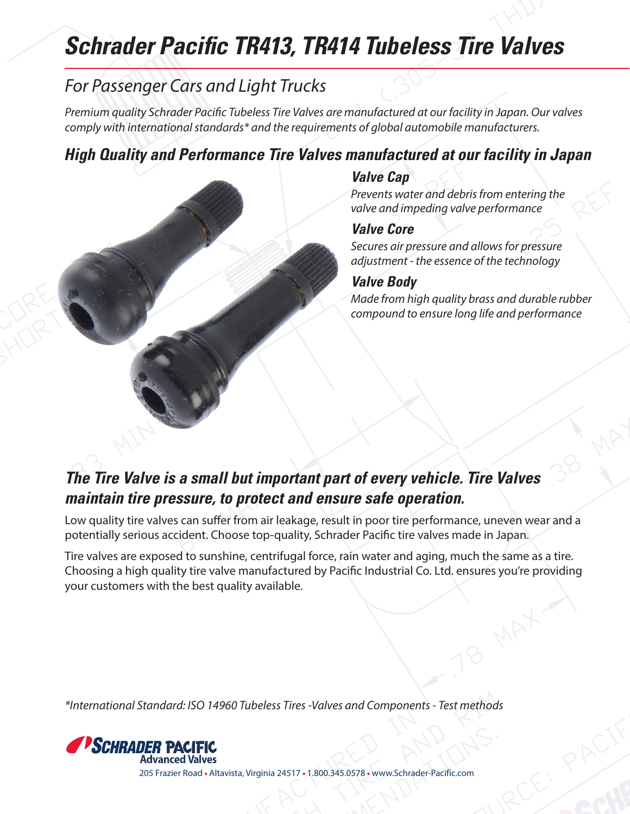# **Schrader Pacific TR413, TR414 Tubeless Tire Valves**

## *For Passenger Cars and Light Trucks*

*Premium quality Schrader Pacific Tubeless Tire Valves are manufactured at our facility in Japan. Our valves comply with international standards\* and the requirements of global automobile manufacturers.*

### **High Quality and Performance Tire Valves manufactured at our facility in Japan**

#### **Valve Cap**

*Prevents water and debris from entering the valve and impeding valve performance*

#### **Valve Core**

*Secures air pressure and allows for pressure adjustment - the essence of the technology*

#### **Valve Body**

*Made from high quality brass and durable rubber compound to ensure long life and performance*

## **The Tire Valve is a small but important part of every vehicle. Tire Valves maintain tire pressure, to protect and ensure safe operation.**

Low quality tire valves can suffer from air leakage, result in poor tire performance, uneven wear and a potentially serious accident. Choose top-quality, Schrader Pacific tire valves made in Japan.

Tire valves are exposed to sunshine, centrifugal force, rain water and aging, much the same as a tire. Choosing a high quality tire valve manufactured by Pacific Industrial Co. Ltd. ensures you're providing your customers with the best quality available.

*\*International Standard: ISO 14960 Tubeless Tires -Valves and Components - Test methods*



205 Frazier Road • Altavista, Virginia 24517 • 1.800.345.0578 • www.Schrader-Pacific.com